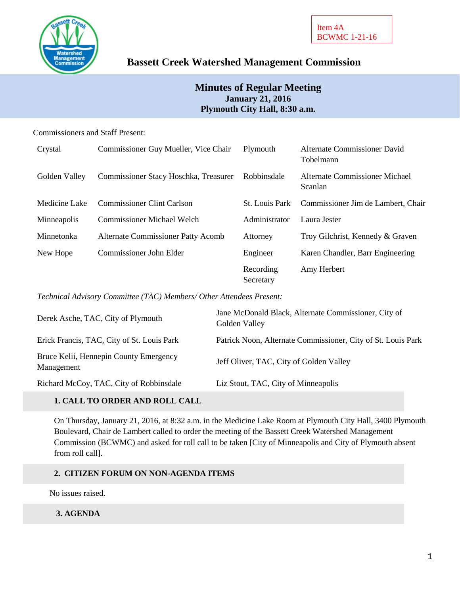

# **Bassett Creek Watershed Management Commission**

# **Minutes of Regular Meeting January 21, 2016 Plymouth City Hall, 8:30 a.m.**

### Commissioners and Staff Present:

| Crystal       | Commissioner Guy Mueller, Vice Chair      | Plymouth               | Alternate Commissioner David<br>Tobelmann |
|---------------|-------------------------------------------|------------------------|-------------------------------------------|
| Golden Valley | Commissioner Stacy Hoschka, Treasurer     | Robbinsdale            | Alternate Commissioner Michael<br>Scanlan |
| Medicine Lake | <b>Commissioner Clint Carlson</b>         | <b>St.</b> Louis Park  | Commissioner Jim de Lambert, Chair        |
| Minneapolis   | <b>Commissioner Michael Welch</b>         | Administrator          | Laura Jester                              |
| Minnetonka    | <b>Alternate Commissioner Patty Acomb</b> | Attorney               | Troy Gilchrist, Kennedy & Graven          |
| New Hope      | Commissioner John Elder                   | Engineer               | Karen Chandler, Barr Engineering          |
|               |                                           | Recording<br>Secretary | Amy Herbert                               |

*Technical Advisory Committee (TAC) Members/ Other Attendees Present:*

| Derek Asche, TAC, City of Plymouth                   | Jane McDonald Black, Alternate Commissioner, City of<br>Golden Valley |
|------------------------------------------------------|-----------------------------------------------------------------------|
| Erick Francis, TAC, City of St. Louis Park           | Patrick Noon, Alternate Commissioner, City of St. Louis Park          |
| Bruce Kelii, Hennepin County Emergency<br>Management | Jeff Oliver, TAC, City of Golden Valley                               |
| Richard McCoy, TAC, City of Robbinsdale              | Liz Stout, TAC, City of Minneapolis                                   |
|                                                      |                                                                       |

# **1. CALL TO ORDER AND ROLL CALL**

On Thursday, January 21, 2016, at 8:32 a.m. in the Medicine Lake Room at Plymouth City Hall, 3400 Plymouth Boulevard, Chair de Lambert called to order the meeting of the Bassett Creek Watershed Management Commission (BCWMC) and asked for roll call to be taken [City of Minneapolis and City of Plymouth absent from roll call].

### **2. CITIZEN FORUM ON NON-AGENDA ITEMS**

No issues raised.

### **3. AGENDA**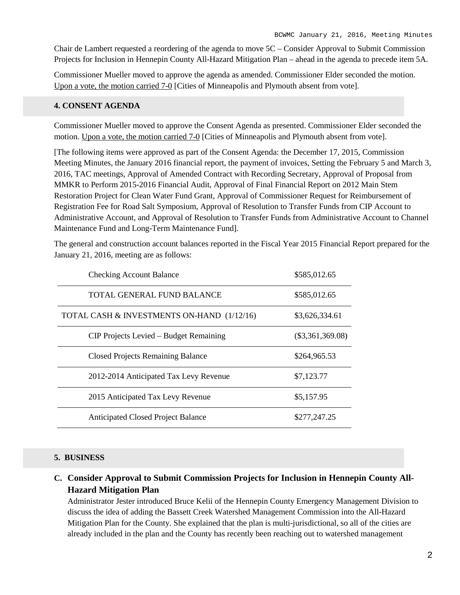Chair de Lambert requested a reordering of the agenda to move 5C – Consider Approval to Submit Commission Projects for Inclusion in Hennepin County All-Hazard Mitigation Plan – ahead in the agenda to precede item 5A.

Commissioner Mueller moved to approve the agenda as amended. Commissioner Elder seconded the motion. Upon a vote, the motion carried 7-0 [Cities of Minneapolis and Plymouth absent from vote].

#### **4. CONSENT AGENDA**

Commissioner Mueller moved to approve the Consent Agenda as presented. Commissioner Elder seconded the motion. Upon a vote, the motion carried 7-0 [Cities of Minneapolis and Plymouth absent from vote].

[The following items were approved as part of the Consent Agenda: the December 17, 2015, Commission Meeting Minutes, the January 2016 financial report, the payment of invoices, Setting the February 5 and March 3, 2016, TAC meetings, Approval of Amended Contract with Recording Secretary, Approval of Proposal from MMKR to Perform 2015-2016 Financial Audit, Approval of Final Financial Report on 2012 Main Stem Restoration Project for Clean Water Fund Grant, Approval of Commissioner Request for Reimbursement of Registration Fee for Road Salt Symposium, Approval of Resolution to Transfer Funds from CIP Account to Administrative Account, and Approval of Resolution to Transfer Funds from Administrative Account to Channel Maintenance Fund and Long-Term Maintenance Fund].

The general and construction account balances reported in the Fiscal Year 2015 Financial Report prepared for the January 21, 2016, meeting are as follows:

| <b>Checking Account Balance</b>            | \$585,012.65       |
|--------------------------------------------|--------------------|
| TOTAL GENERAL FUND BALANCE                 | \$585,012.65       |
| TOTAL CASH & INVESTMENTS ON-HAND (1/12/16) | \$3,626,334.61     |
| CIP Projects Levied – Budget Remaining     | $(\$3,361,369.08)$ |
| <b>Closed Projects Remaining Balance</b>   | \$264,965.53       |
| 2012-2014 Anticipated Tax Levy Revenue     | \$7,123.77         |
| 2015 Anticipated Tax Levy Revenue          | \$5,157.95         |
| <b>Anticipated Closed Project Balance</b>  | \$277,247.25       |

#### **5. BUSINESS**

# **C. Consider Approval to Submit Commission Projects for Inclusion in Hennepin County All-Hazard Mitigation Plan**

Administrator Jester introduced Bruce Kelii of the Hennepin County Emergency Management Division to discuss the idea of adding the Bassett Creek Watershed Management Commission into the All-Hazard Mitigation Plan for the County. She explained that the plan is multi-jurisdictional, so all of the cities are already included in the plan and the County has recently been reaching out to watershed management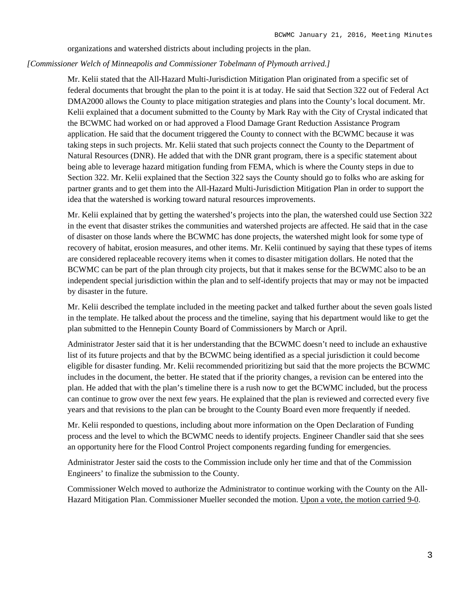organizations and watershed districts about including projects in the plan.

#### *[Commissioner Welch of Minneapolis and Commissioner Tobelmann of Plymouth arrived.]*

Mr. Kelii stated that the All-Hazard Multi-Jurisdiction Mitigation Plan originated from a specific set of federal documents that brought the plan to the point it is at today. He said that Section 322 out of Federal Act DMA2000 allows the County to place mitigation strategies and plans into the County's local document. Mr. Kelii explained that a document submitted to the County by Mark Ray with the City of Crystal indicated that the BCWMC had worked on or had approved a Flood Damage Grant Reduction Assistance Program application. He said that the document triggered the County to connect with the BCWMC because it was taking steps in such projects. Mr. Kelii stated that such projects connect the County to the Department of Natural Resources (DNR). He added that with the DNR grant program, there is a specific statement about being able to leverage hazard mitigation funding from FEMA, which is where the County steps in due to Section 322. Mr. Kelii explained that the Section 322 says the County should go to folks who are asking for partner grants and to get them into the All-Hazard Multi-Jurisdiction Mitigation Plan in order to support the idea that the watershed is working toward natural resources improvements.

Mr. Kelii explained that by getting the watershed's projects into the plan, the watershed could use Section 322 in the event that disaster strikes the communities and watershed projects are affected. He said that in the case of disaster on those lands where the BCWMC has done projects, the watershed might look for some type of recovery of habitat, erosion measures, and other items. Mr. Kelii continued by saying that these types of items are considered replaceable recovery items when it comes to disaster mitigation dollars. He noted that the BCWMC can be part of the plan through city projects, but that it makes sense for the BCWMC also to be an independent special jurisdiction within the plan and to self-identify projects that may or may not be impacted by disaster in the future.

Mr. Kelii described the template included in the meeting packet and talked further about the seven goals listed in the template. He talked about the process and the timeline, saying that his department would like to get the plan submitted to the Hennepin County Board of Commissioners by March or April.

Administrator Jester said that it is her understanding that the BCWMC doesn't need to include an exhaustive list of its future projects and that by the BCWMC being identified as a special jurisdiction it could become eligible for disaster funding. Mr. Kelii recommended prioritizing but said that the more projects the BCWMC includes in the document, the better. He stated that if the priority changes, a revision can be entered into the plan. He added that with the plan's timeline there is a rush now to get the BCWMC included, but the process can continue to grow over the next few years. He explained that the plan is reviewed and corrected every five years and that revisions to the plan can be brought to the County Board even more frequently if needed.

Mr. Kelii responded to questions, including about more information on the Open Declaration of Funding process and the level to which the BCWMC needs to identify projects. Engineer Chandler said that she sees an opportunity here for the Flood Control Project components regarding funding for emergencies.

Administrator Jester said the costs to the Commission include only her time and that of the Commission Engineers' to finalize the submission to the County.

Commissioner Welch moved to authorize the Administrator to continue working with the County on the All-Hazard Mitigation Plan. Commissioner Mueller seconded the motion. Upon a vote, the motion carried 9-0.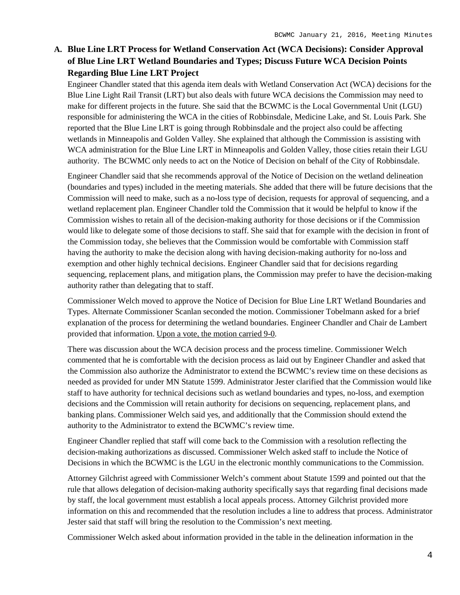# **A. Blue Line LRT Process for Wetland Conservation Act (WCA Decisions): Consider Approval of Blue Line LRT Wetland Boundaries and Types; Discuss Future WCA Decision Points Regarding Blue Line LRT Project**

Engineer Chandler stated that this agenda item deals with Wetland Conservation Act (WCA) decisions for the Blue Line Light Rail Transit (LRT) but also deals with future WCA decisions the Commission may need to make for different projects in the future. She said that the BCWMC is the Local Governmental Unit (LGU) responsible for administering the WCA in the cities of Robbinsdale, Medicine Lake, and St. Louis Park. She reported that the Blue Line LRT is going through Robbinsdale and the project also could be affecting wetlands in Minneapolis and Golden Valley. She explained that although the Commission is assisting with WCA administration for the Blue Line LRT in Minneapolis and Golden Valley, those cities retain their LGU authority. The BCWMC only needs to act on the Notice of Decision on behalf of the City of Robbinsdale.

Engineer Chandler said that she recommends approval of the Notice of Decision on the wetland delineation (boundaries and types) included in the meeting materials. She added that there will be future decisions that the Commission will need to make, such as a no-loss type of decision, requests for approval of sequencing, and a wetland replacement plan. Engineer Chandler told the Commission that it would be helpful to know if the Commission wishes to retain all of the decision-making authority for those decisions or if the Commission would like to delegate some of those decisions to staff. She said that for example with the decision in front of the Commission today, she believes that the Commission would be comfortable with Commission staff having the authority to make the decision along with having decision-making authority for no-loss and exemption and other highly technical decisions. Engineer Chandler said that for decisions regarding sequencing, replacement plans, and mitigation plans, the Commission may prefer to have the decision-making authority rather than delegating that to staff.

Commissioner Welch moved to approve the Notice of Decision for Blue Line LRT Wetland Boundaries and Types. Alternate Commissioner Scanlan seconded the motion. Commissioner Tobelmann asked for a brief explanation of the process for determining the wetland boundaries. Engineer Chandler and Chair de Lambert provided that information. Upon a vote, the motion carried 9-0.

There was discussion about the WCA decision process and the process timeline. Commissioner Welch commented that he is comfortable with the decision process as laid out by Engineer Chandler and asked that the Commission also authorize the Administrator to extend the BCWMC's review time on these decisions as needed as provided for under MN Statute 1599. Administrator Jester clarified that the Commission would like staff to have authority for technical decisions such as wetland boundaries and types, no-loss, and exemption decisions and the Commission will retain authority for decisions on sequencing, replacement plans, and banking plans. Commissioner Welch said yes, and additionally that the Commission should extend the authority to the Administrator to extend the BCWMC's review time.

Engineer Chandler replied that staff will come back to the Commission with a resolution reflecting the decision-making authorizations as discussed. Commissioner Welch asked staff to include the Notice of Decisions in which the BCWMC is the LGU in the electronic monthly communications to the Commission.

Attorney Gilchrist agreed with Commissioner Welch's comment about Statute 1599 and pointed out that the rule that allows delegation of decision-making authority specifically says that regarding final decisions made by staff, the local government must establish a local appeals process. Attorney Gilchrist provided more information on this and recommended that the resolution includes a line to address that process. Administrator Jester said that staff will bring the resolution to the Commission's next meeting.

Commissioner Welch asked about information provided in the table in the delineation information in the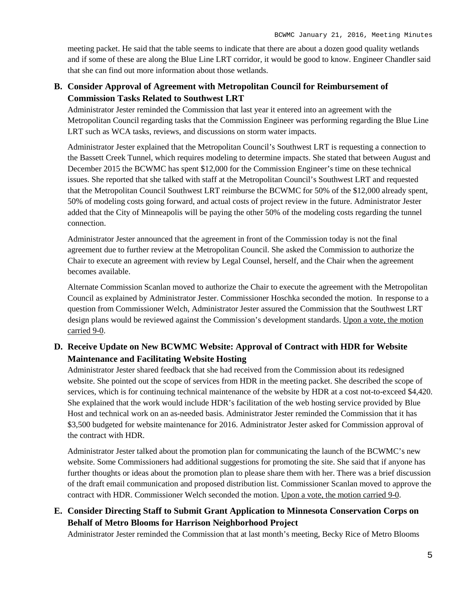meeting packet. He said that the table seems to indicate that there are about a dozen good quality wetlands and if some of these are along the Blue Line LRT corridor, it would be good to know. Engineer Chandler said that she can find out more information about those wetlands.

# **B. Consider Approval of Agreement with Metropolitan Council for Reimbursement of Commission Tasks Related to Southwest LRT**

Administrator Jester reminded the Commission that last year it entered into an agreement with the Metropolitan Council regarding tasks that the Commission Engineer was performing regarding the Blue Line LRT such as WCA tasks, reviews, and discussions on storm water impacts.

Administrator Jester explained that the Metropolitan Council's Southwest LRT is requesting a connection to the Bassett Creek Tunnel, which requires modeling to determine impacts. She stated that between August and December 2015 the BCWMC has spent \$12,000 for the Commission Engineer's time on these technical issues. She reported that she talked with staff at the Metropolitan Council's Southwest LRT and requested that the Metropolitan Council Southwest LRT reimburse the BCWMC for 50% of the \$12,000 already spent, 50% of modeling costs going forward, and actual costs of project review in the future. Administrator Jester added that the City of Minneapolis will be paying the other 50% of the modeling costs regarding the tunnel connection.

Administrator Jester announced that the agreement in front of the Commission today is not the final agreement due to further review at the Metropolitan Council. She asked the Commission to authorize the Chair to execute an agreement with review by Legal Counsel, herself, and the Chair when the agreement becomes available.

Alternate Commission Scanlan moved to authorize the Chair to execute the agreement with the Metropolitan Council as explained by Administrator Jester. Commissioner Hoschka seconded the motion. In response to a question from Commissioner Welch, Administrator Jester assured the Commission that the Southwest LRT design plans would be reviewed against the Commission's development standards. Upon a vote, the motion carried 9-0.

# **D. Receive Update on New BCWMC Website: Approval of Contract with HDR for Website Maintenance and Facilitating Website Hosting**

Administrator Jester shared feedback that she had received from the Commission about its redesigned website. She pointed out the scope of services from HDR in the meeting packet. She described the scope of services, which is for continuing technical maintenance of the website by HDR at a cost not-to-exceed \$4,420. She explained that the work would include HDR's facilitation of the web hosting service provided by Blue Host and technical work on an as-needed basis. Administrator Jester reminded the Commission that it has \$3,500 budgeted for website maintenance for 2016. Administrator Jester asked for Commission approval of the contract with HDR.

Administrator Jester talked about the promotion plan for communicating the launch of the BCWMC's new website. Some Commissioners had additional suggestions for promoting the site. She said that if anyone has further thoughts or ideas about the promotion plan to please share them with her. There was a brief discussion of the draft email communication and proposed distribution list. Commissioner Scanlan moved to approve the contract with HDR. Commissioner Welch seconded the motion. Upon a vote, the motion carried 9-0.

# **E. Consider Directing Staff to Submit Grant Application to Minnesota Conservation Corps on Behalf of Metro Blooms for Harrison Neighborhood Project**

Administrator Jester reminded the Commission that at last month's meeting, Becky Rice of Metro Blooms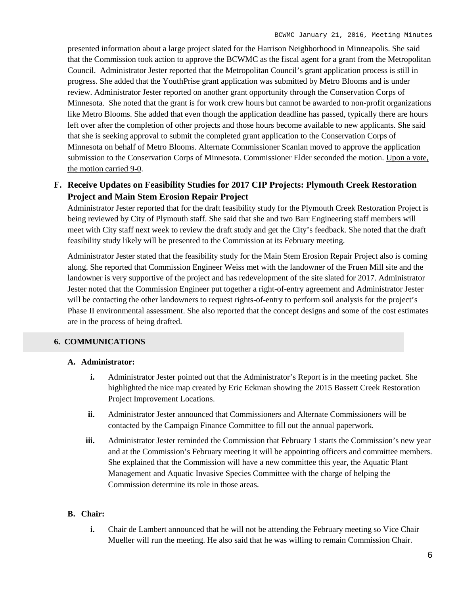presented information about a large project slated for the Harrison Neighborhood in Minneapolis. She said that the Commission took action to approve the BCWMC as the fiscal agent for a grant from the Metropolitan Council. Administrator Jester reported that the Metropolitan Council's grant application process is still in progress. She added that the YouthPrise grant application was submitted by Metro Blooms and is under review. Administrator Jester reported on another grant opportunity through the Conservation Corps of Minnesota. She noted that the grant is for work crew hours but cannot be awarded to non-profit organizations like Metro Blooms. She added that even though the application deadline has passed, typically there are hours left over after the completion of other projects and those hours become available to new applicants. She said that she is seeking approval to submit the completed grant application to the Conservation Corps of Minnesota on behalf of Metro Blooms. Alternate Commissioner Scanlan moved to approve the application submission to the Conservation Corps of Minnesota. Commissioner Elder seconded the motion. Upon a vote, the motion carried 9-0.

### **F. Receive Updates on Feasibility Studies for 2017 CIP Projects: Plymouth Creek Restoration Project and Main Stem Erosion Repair Project**

Administrator Jester reported that for the draft feasibility study for the Plymouth Creek Restoration Project is being reviewed by City of Plymouth staff. She said that she and two Barr Engineering staff members will meet with City staff next week to review the draft study and get the City's feedback. She noted that the draft feasibility study likely will be presented to the Commission at its February meeting.

Administrator Jester stated that the feasibility study for the Main Stem Erosion Repair Project also is coming along. She reported that Commission Engineer Weiss met with the landowner of the Fruen Mill site and the landowner is very supportive of the project and has redevelopment of the site slated for 2017. Administrator Jester noted that the Commission Engineer put together a right-of-entry agreement and Administrator Jester will be contacting the other landowners to request rights-of-entry to perform soil analysis for the project's Phase II environmental assessment. She also reported that the concept designs and some of the cost estimates are in the process of being drafted.

#### **6. COMMUNICATIONS**

#### **A. Administrator:**

- **i.** Administrator Jester pointed out that the Administrator's Report is in the meeting packet. She highlighted the nice map created by Eric Eckman showing the 2015 Bassett Creek Restoration Project Improvement Locations.
- **ii.** Administrator Jester announced that Commissioners and Alternate Commissioners will be contacted by the Campaign Finance Committee to fill out the annual paperwork.
- **iii.** Administrator Jester reminded the Commission that February 1 starts the Commission's new year and at the Commission's February meeting it will be appointing officers and committee members. She explained that the Commission will have a new committee this year, the Aquatic Plant Management and Aquatic Invasive Species Committee with the charge of helping the Commission determine its role in those areas.

#### **B. Chair:**

**i.** Chair de Lambert announced that he will not be attending the February meeting so Vice Chair Mueller will run the meeting. He also said that he was willing to remain Commission Chair.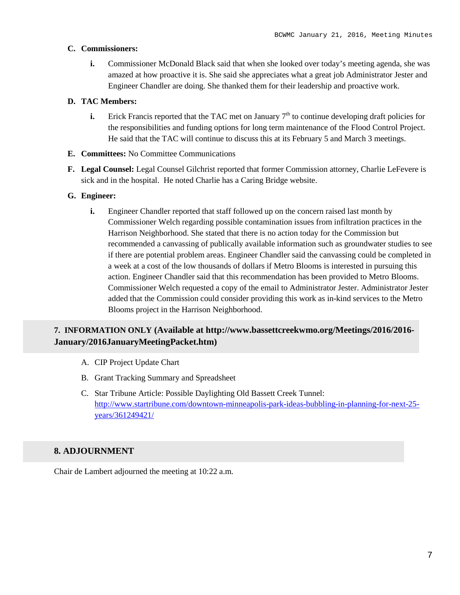#### **C. Commissioners:**

**i.** Commissioner McDonald Black said that when she looked over today's meeting agenda, she was amazed at how proactive it is. She said she appreciates what a great job Administrator Jester and Engineer Chandler are doing. She thanked them for their leadership and proactive work.

#### **D. TAC Members:**

- **i.** Erick Francis reported that the TAC met on January  $7<sup>th</sup>$  to continue developing draft policies for the responsibilities and funding options for long term maintenance of the Flood Control Project. He said that the TAC will continue to discuss this at its February 5 and March 3 meetings.
- **E. Committees:** No Committee Communications
- **F. Legal Counsel:** Legal Counsel Gilchrist reported that former Commission attorney, Charlie LeFevere is sick and in the hospital. He noted Charlie has a Caring Bridge website.

#### **G. Engineer:**

**i.** Engineer Chandler reported that staff followed up on the concern raised last month by Commissioner Welch regarding possible contamination issues from infiltration practices in the Harrison Neighborhood. She stated that there is no action today for the Commission but recommended a canvassing of publically available information such as groundwater studies to see if there are potential problem areas. Engineer Chandler said the canvassing could be completed in a week at a cost of the low thousands of dollars if Metro Blooms is interested in pursuing this action. Engineer Chandler said that this recommendation has been provided to Metro Blooms. Commissioner Welch requested a copy of the email to Administrator Jester. Administrator Jester added that the Commission could consider providing this work as in-kind services to the Metro Blooms project in the Harrison Neighborhood.

# **7. INFORMATION ONLY (Available at http://www.bassettcreekwmo.org/Meetings/2016/2016- January/2016JanuaryMeetingPacket.htm)**

- A. CIP Project Update Chart
- B. Grant Tracking Summary and Spreadsheet
- C. Star Tribune Article: Possible Daylighting Old Bassett Creek Tunnel: [http://www.startribune.com/downtown-minneapolis-park-ideas-bubbling-in-planning-for-next-25](http://www.startribune.com/downtown-minneapolis-park-ideas-bubbling-in-planning-for-next-25-years/361249421/) [years/361249421/](http://www.startribune.com/downtown-minneapolis-park-ideas-bubbling-in-planning-for-next-25-years/361249421/)

### **8. ADJOURNMENT**

Chair de Lambert adjourned the meeting at 10:22 a.m.